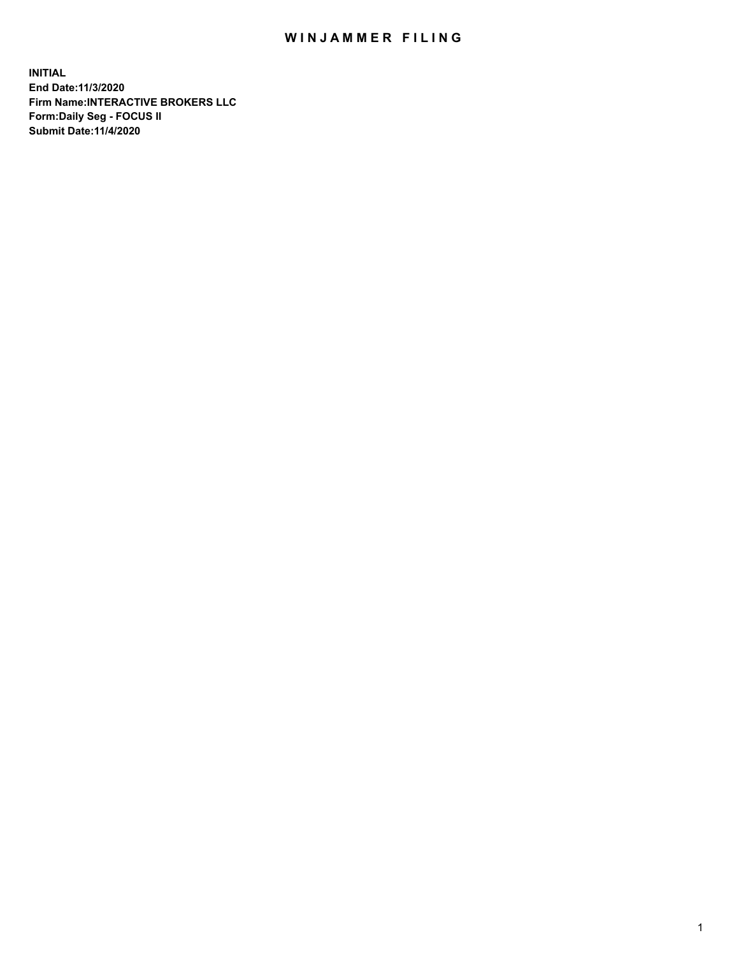## WIN JAMMER FILING

**INITIAL End Date:11/3/2020 Firm Name:INTERACTIVE BROKERS LLC Form:Daily Seg - FOCUS II Submit Date:11/4/2020**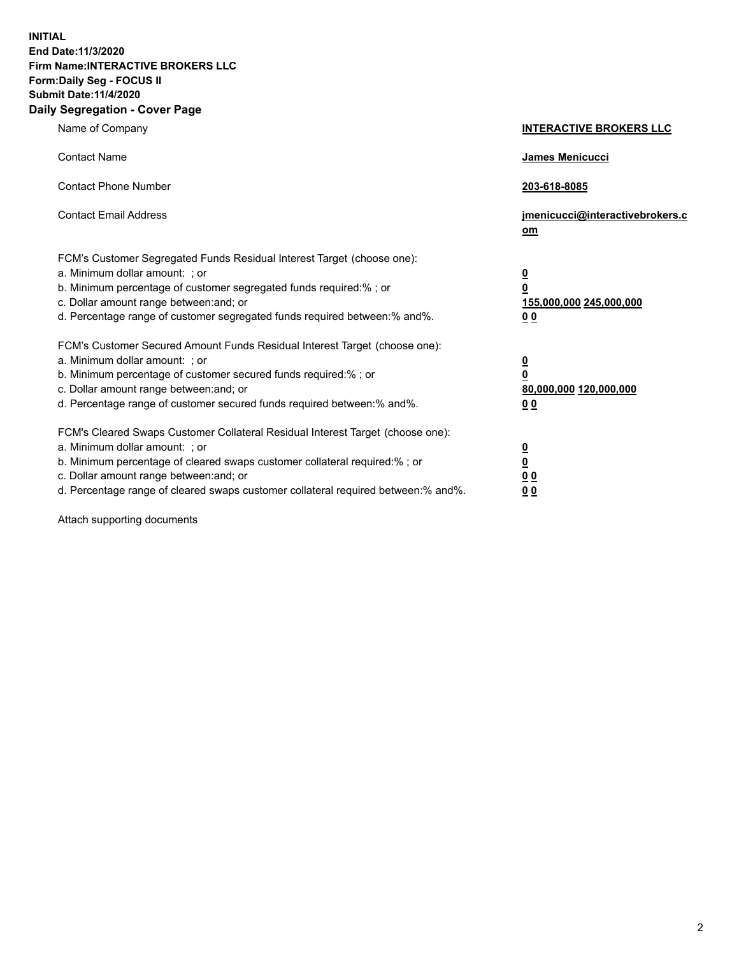**INITIAL End Date:11/3/2020 Firm Name:INTERACTIVE BROKERS LLC Form:Daily Seg - FOCUS II Submit Date:11/4/2020 Daily Segregation - Cover Page**

| Name of Company                                                                                                                                                                                                                                                                                                                | <b>INTERACTIVE BROKERS LLC</b>                                                   |
|--------------------------------------------------------------------------------------------------------------------------------------------------------------------------------------------------------------------------------------------------------------------------------------------------------------------------------|----------------------------------------------------------------------------------|
| <b>Contact Name</b>                                                                                                                                                                                                                                                                                                            | James Menicucci                                                                  |
| <b>Contact Phone Number</b>                                                                                                                                                                                                                                                                                                    | 203-618-8085                                                                     |
| <b>Contact Email Address</b>                                                                                                                                                                                                                                                                                                   | jmenicucci@interactivebrokers.c<br>om                                            |
| FCM's Customer Segregated Funds Residual Interest Target (choose one):<br>a. Minimum dollar amount: ; or<br>b. Minimum percentage of customer segregated funds required:% ; or<br>c. Dollar amount range between: and; or<br>d. Percentage range of customer segregated funds required between:% and%.                         | <u>0</u><br>$\overline{\mathbf{0}}$<br>155,000,000 245,000,000<br>0 <sub>0</sub> |
| FCM's Customer Secured Amount Funds Residual Interest Target (choose one):<br>a. Minimum dollar amount: ; or<br>b. Minimum percentage of customer secured funds required:% ; or<br>c. Dollar amount range between: and; or<br>d. Percentage range of customer secured funds required between:% and%.                           | <u>0</u><br>$\overline{\mathbf{0}}$<br>80,000,000 120,000,000<br>0 <sub>0</sub>  |
| FCM's Cleared Swaps Customer Collateral Residual Interest Target (choose one):<br>a. Minimum dollar amount: ; or<br>b. Minimum percentage of cleared swaps customer collateral required:% ; or<br>c. Dollar amount range between: and; or<br>d. Percentage range of cleared swaps customer collateral required between:% and%. | <u>0</u><br>$\underline{\mathbf{0}}$<br>0 <sub>0</sub><br>0 <sub>0</sub>         |

Attach supporting documents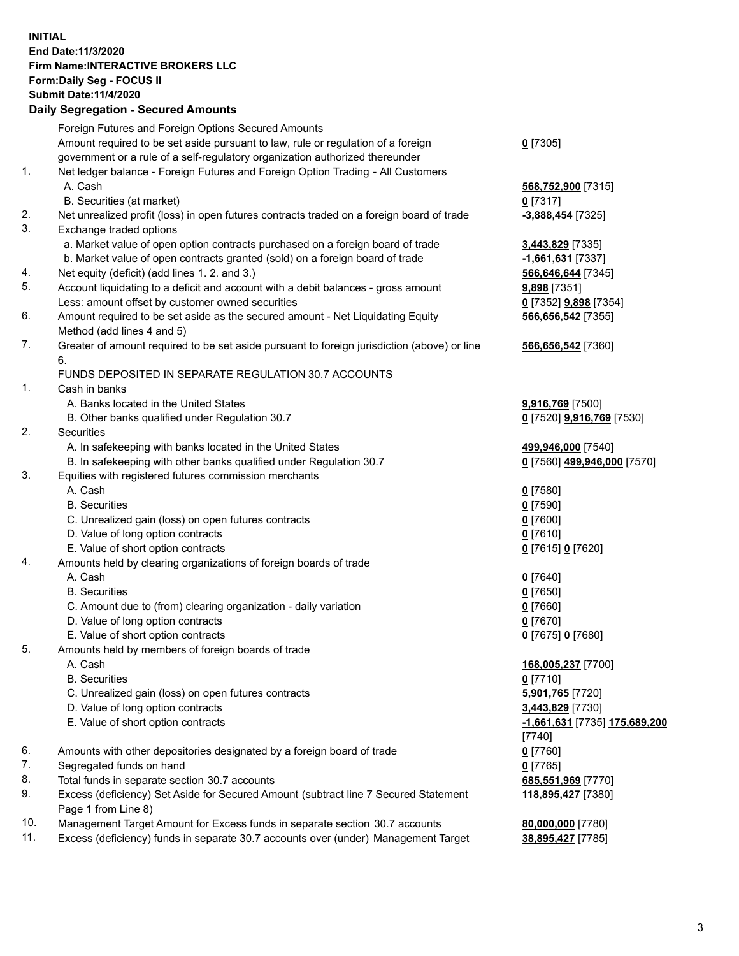**INITIAL End Date:11/3/2020 Firm Name:INTERACTIVE BROKERS LLC Form:Daily Seg - FOCUS II Submit Date:11/4/2020 Daily Segregation - Secured Amounts**

|     | Daily Segregation - Secured Amounts                                                         |                               |
|-----|---------------------------------------------------------------------------------------------|-------------------------------|
|     | Foreign Futures and Foreign Options Secured Amounts                                         |                               |
|     | Amount required to be set aside pursuant to law, rule or regulation of a foreign            | $0$ [7305]                    |
|     | government or a rule of a self-regulatory organization authorized thereunder                |                               |
| 1.  | Net ledger balance - Foreign Futures and Foreign Option Trading - All Customers             |                               |
|     | A. Cash                                                                                     | 568,752,900 [7315]            |
|     | B. Securities (at market)                                                                   | $0$ [7317]                    |
| 2.  | Net unrealized profit (loss) in open futures contracts traded on a foreign board of trade   | -3,888,454 [7325]             |
| 3.  | Exchange traded options                                                                     |                               |
|     | a. Market value of open option contracts purchased on a foreign board of trade              | 3,443,829 [7335]              |
|     | b. Market value of open contracts granted (sold) on a foreign board of trade                | -1,661,631 [7337]             |
| 4.  | Net equity (deficit) (add lines 1. 2. and 3.)                                               | 566,646,644 [7345]            |
| 5.  | Account liquidating to a deficit and account with a debit balances - gross amount           | 9,898 [7351]                  |
|     | Less: amount offset by customer owned securities                                            | 0 [7352] <b>9,898</b> [7354]  |
| 6.  | Amount required to be set aside as the secured amount - Net Liquidating Equity              | 566,656,542 [7355]            |
|     | Method (add lines 4 and 5)                                                                  |                               |
| 7.  | Greater of amount required to be set aside pursuant to foreign jurisdiction (above) or line | 566,656,542 [7360]            |
|     | 6.                                                                                          |                               |
|     | FUNDS DEPOSITED IN SEPARATE REGULATION 30.7 ACCOUNTS                                        |                               |
| 1.  | Cash in banks                                                                               |                               |
|     | A. Banks located in the United States                                                       | 9,916,769 [7500]              |
|     | B. Other banks qualified under Regulation 30.7                                              | 0 [7520] 9,916,769 [7530]     |
| 2.  | <b>Securities</b>                                                                           |                               |
|     | A. In safekeeping with banks located in the United States                                   | 499,946,000 [7540]            |
| 3.  | B. In safekeeping with other banks qualified under Regulation 30.7                          | 0 [7560] 499,946,000 [7570]   |
|     | Equities with registered futures commission merchants<br>A. Cash                            |                               |
|     | <b>B.</b> Securities                                                                        | $0$ [7580]<br>$0$ [7590]      |
|     | C. Unrealized gain (loss) on open futures contracts                                         | $0$ [7600]                    |
|     | D. Value of long option contracts                                                           | $0$ [7610]                    |
|     | E. Value of short option contracts                                                          | 0 [7615] 0 [7620]             |
| 4.  | Amounts held by clearing organizations of foreign boards of trade                           |                               |
|     | A. Cash                                                                                     | $0$ [7640]                    |
|     | <b>B.</b> Securities                                                                        | $0$ [7650]                    |
|     | C. Amount due to (from) clearing organization - daily variation                             | $0$ [7660]                    |
|     | D. Value of long option contracts                                                           | $0$ [7670]                    |
|     | E. Value of short option contracts                                                          | 0 [7675] 0 [7680]             |
| 5.  | Amounts held by members of foreign boards of trade                                          |                               |
|     | A. Cash                                                                                     | 168,005,237 [7700]            |
|     | <b>B.</b> Securities                                                                        | $0$ [7710]                    |
|     | C. Unrealized gain (loss) on open futures contracts                                         | 5,901,765 [7720]              |
|     | D. Value of long option contracts                                                           | 3,443,829 [7730]              |
|     | E. Value of short option contracts                                                          | -1,661,631 [7735] 175,689,200 |
|     |                                                                                             | $[7740]$                      |
| 6.  | Amounts with other depositories designated by a foreign board of trade                      | $0$ [7760]                    |
| 7.  | Segregated funds on hand                                                                    | $0$ [7765]                    |
| 8.  | Total funds in separate section 30.7 accounts                                               | 685,551,969 [7770]            |
| 9.  | Excess (deficiency) Set Aside for Secured Amount (subtract line 7 Secured Statement         | 118,895,427 [7380]            |
|     | Page 1 from Line 8)                                                                         |                               |
| 10. | Management Target Amount for Excess funds in separate section 30.7 accounts                 | 80,000,000 [7780]             |
| 11. | Excess (deficiency) funds in separate 30.7 accounts over (under) Management Target          | 38,895,427 [7785]             |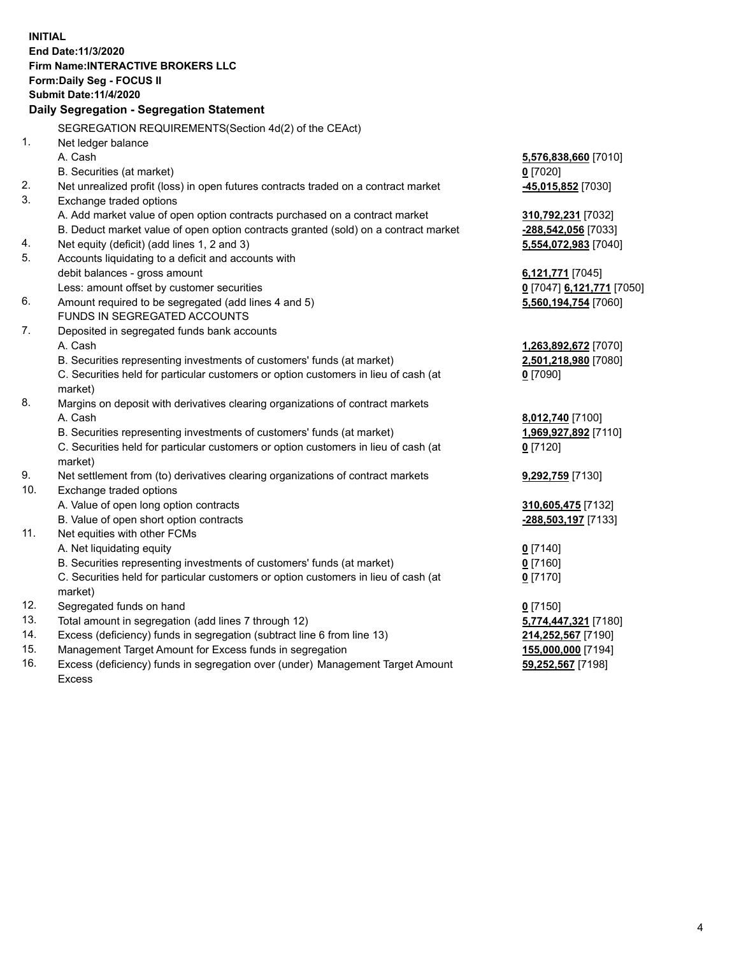**INITIAL End Date:11/3/2020 Firm Name:INTERACTIVE BROKERS LLC Form:Daily Seg - FOCUS II Submit Date:11/4/2020 Daily Segregation - Segregation Statement** SEGREGATION REQUIREMENTS(Section 4d(2) of the CEAct) 1. Net ledger balance A. Cash **5,576,838,660** [7010] B. Securities (at market) **0** [7020] 2. Net unrealized profit (loss) in open futures contracts traded on a contract market **-45,015,852** [7030] 3. Exchange traded options A. Add market value of open option contracts purchased on a contract market **310,792,231** [7032] B. Deduct market value of open option contracts granted (sold) on a contract market **-288,542,056** [7033] 4. Net equity (deficit) (add lines 1, 2 and 3) **5,554,072,983** [7040] 5. Accounts liquidating to a deficit and accounts with debit balances - gross amount **6,121,771** [7045] Less: amount offset by customer securities **0** [7047] **6,121,771** [7050] 6. Amount required to be segregated (add lines 4 and 5) **5,560,194,754** [7060] FUNDS IN SEGREGATED ACCOUNTS 7. Deposited in segregated funds bank accounts A. Cash **1,263,892,672** [7070] B. Securities representing investments of customers' funds (at market) **2,501,218,980** [7080] C. Securities held for particular customers or option customers in lieu of cash (at market) **0** [7090] 8. Margins on deposit with derivatives clearing organizations of contract markets A. Cash **8,012,740** [7100] B. Securities representing investments of customers' funds (at market) **1,969,927,892** [7110] C. Securities held for particular customers or option customers in lieu of cash (at market) **0** [7120] 9. Net settlement from (to) derivatives clearing organizations of contract markets **9,292,759** [7130] 10. Exchange traded options A. Value of open long option contracts **310,605,475** [7132] B. Value of open short option contracts **-288,503,197** [7133] 11. Net equities with other FCMs A. Net liquidating equity **0** [7140] B. Securities representing investments of customers' funds (at market) **0** [7160] C. Securities held for particular customers or option customers in lieu of cash (at market) **0** [7170] 12. Segregated funds on hand **0** [7150] 13. Total amount in segregation (add lines 7 through 12) **5,774,447,321** [7180] 14. Excess (deficiency) funds in segregation (subtract line 6 from line 13) **214,252,567** [7190] 15. Management Target Amount for Excess funds in segregation **155,000,000** [7194]

16. Excess (deficiency) funds in segregation over (under) Management Target Amount Excess

**59,252,567** [7198]